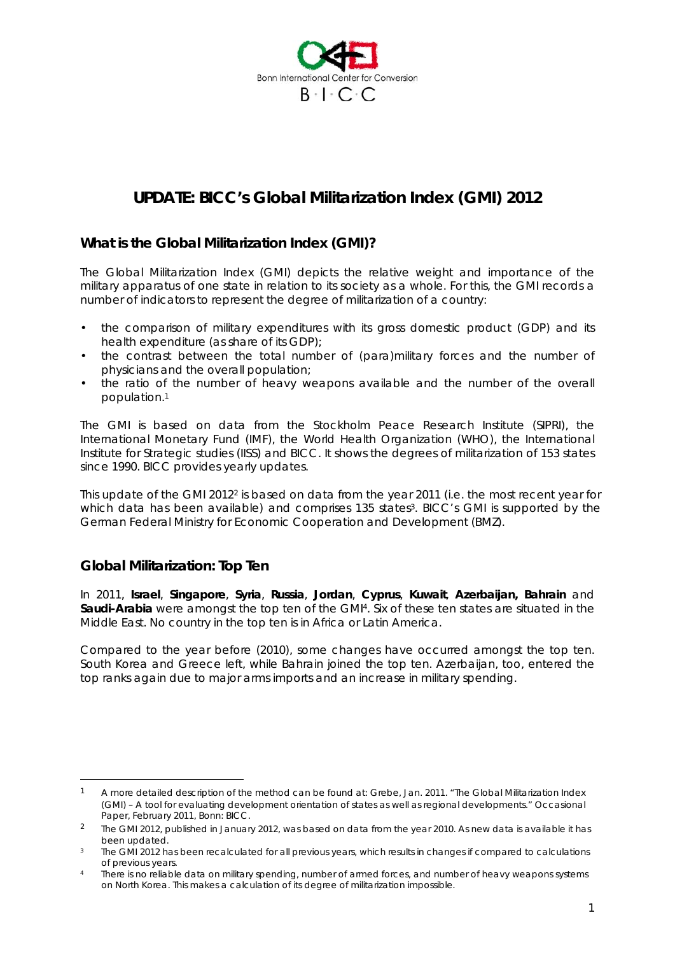

# *UPDATE: BICC's Global Militarization Index (GMI) 2012*

# **What is the Global Militarization Index (GMI)?**

The Global Militarization Index (GMI) depicts the relative weight and importance of the military apparatus of one state in relation to its society as a whole. For this, the GMI records a number of indicators to represent the degree of militarization of a country:

- the comparison of military expenditures with its gross domestic product (GDP) and its health expenditure (as share of its GDP);
- the contrast between the total number of (para)military forces and the number of physicians and the overall population;
- the ratio of the number of heavy weapons available and the number of the overall population.1

The GMI is based on data from the Stockholm Peace Research Institute (SIPRI), the International Monetary Fund (IMF), the World Health Organization (WHO), the International Institute for Strategic studies (IISS) and BICC. It shows the degrees of militarization of 153 states since 1990. BICC provides yearly updates.

This update of the GMI 20122 is based on data from the year 2011 (i.e. the most recent year for which data has been available) and comprises 135 states<sup>3</sup>. BICC's GMI is supported by the German Federal Ministry for Economic Cooperation and Development (BMZ).

## **Global Militarization: Top Ten**

 $\overline{a}$ 

In 2011, **Israel**, **Singapore**, **Syria**, **Russia**, **Jordan**, **Cyprus**, **Kuwait**, **Azerbaijan, Bahrain** and **Saudi-Arabia** were amongst the top ten of the GMI4. Six of these ten states are situated in the Middle East. No country in the top ten is in Africa or Latin America.

Compared to the year before (2010), some changes have occurred amongst the top ten. South Korea and Greece left, while Bahrain joined the top ten. Azerbaijan, too, entered the top ranks again due to major arms imports and an increase in military spending.

<sup>&</sup>lt;sup>1</sup> A more detailed description of the method can be found at: Grebe, Jan. 2011. "The Global Militarization Index (GMI) – A tool for evaluating development orientation of states as well as regional developments." *Occasional Paper*, February 2011, Bonn: BICC.

<sup>&</sup>lt;sup>2</sup> The GMI 2012, published in January 2012, was based on data from the year 2010. As new data is available it has been updated.

The GMI 2012 has been recalculated for all previous years, which results in changes if compared to calculations of previous years.<br>There is no reliable data on military spending, number of armed forces, and number of heavy weapons systems

on North Korea. This makes a calculation of its degree of militarization impossible.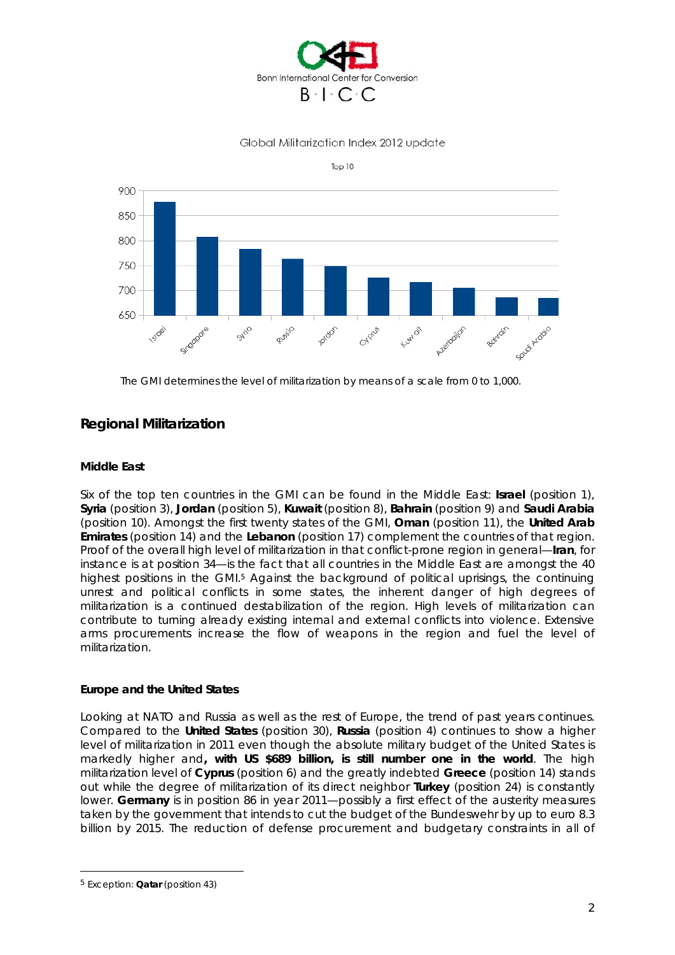

## Global Militarization Index 2012 update





The GMI determines the level of militarization by means of a scale from 0 to 1,000.

# **Regional Militarization**

## **Middle East**

Six of the top ten countries in the GMI can be found in the Middle East: **Israel** (position 1), **Syria** (position 3), **Jordan** (position 5), **Kuwait** (position 8), **Bahrain** (position 9) and **Saudi Arabia** (position 10). Amongst the first twenty states of the GMI, **Oman** (position 11), the **United Arab Emirates** (position 14) and the **Lebanon** (position 17) complement the countries of that region. Proof of the overall high level of militarization in that conflict-prone region in general—**Iran**, for instance is at position 34—is the fact that all countries in the Middle East are amongst the 40 highest positions in the GMI.<sup>5</sup> Against the background of political uprisings, the continuing unrest and political conflicts in some states, the inherent danger of high degrees of militarization is a continued destabilization of the region. High levels of militarization can contribute to turning already existing internal and external conflicts into violence. Extensive arms procurements increase the flow of weapons in the region and fuel the level of militarization.

#### **Europe and the United States**

Looking at NATO and Russia as well as the rest of Europe, the trend of past years continues. Compared to the **United States** (position 30), **Russia** (position 4) continues to show a higher level of militarization in 2011 even though the absolute military budget of the United States is markedly higher and**, with US \$689 billion, is still number one in the world**. The high militarization level of **Cyprus** (position 6) and the greatly indebted **Greece** (position 14) stands out while the degree of militarization of its direct neighbor **Turkey** (position 24) is constantly lower. **Germany** is in position 86 in year 2011—possibly a first effect of the austerity measures taken by the government that intends to cut the budget of the *Bundeswehr* by up to euro 8.3 billion by 2015. The reduction of defense procurement and budgetary constraints in all of

 $\overline{a}$ 

<sup>5</sup> Exception: **Qatar** (position 43)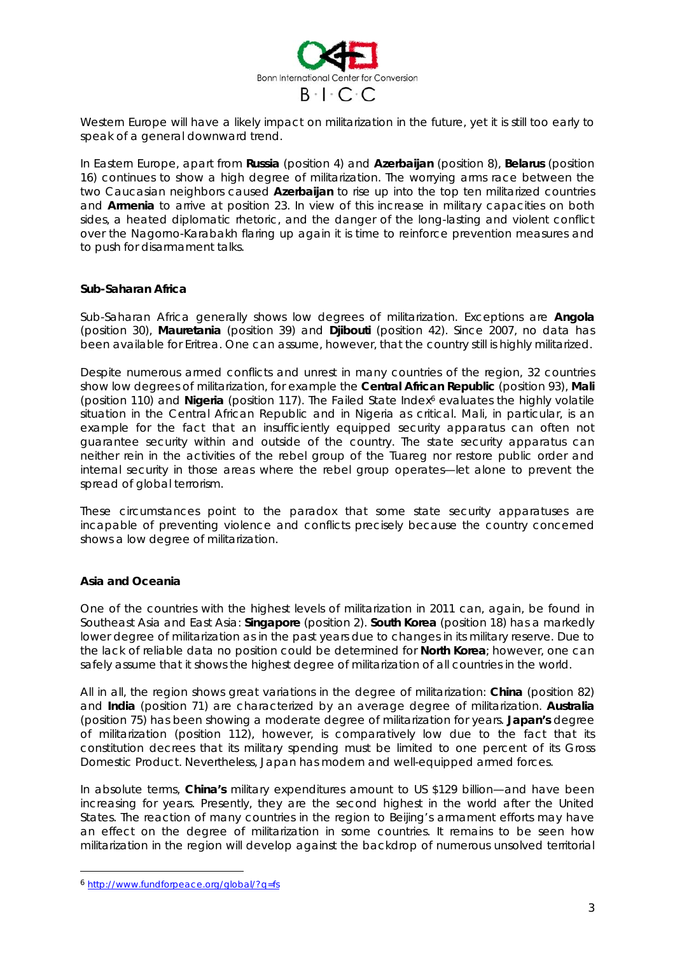

Western Europe will have a likely impact on militarization in the future, yet it is still too early to speak of a general downward trend.

In Eastern Europe, apart from **Russia** (position 4) and **Azerbaijan** (position 8), **Belarus** (position 16) continues to show a high degree of militarization. The worrying arms race between the two Caucasian neighbors caused **Azerbaijan** to rise up into the top ten militarized countries and **Armenia** to arrive at position 23. In view of this increase in military capacities on both sides, a heated diplomatic rhetoric, and the danger of the long-lasting and violent conflict over the Nagorno-Karabakh flaring up again it is time to reinforce prevention measures and to push for disarmament talks.

#### **Sub-Saharan Africa**

Sub-Saharan Africa generally shows low degrees of militarization. Exceptions are **Angola** (position 30), **Mauretania** (position 39) and **Djibouti** (position 42). Since 2007, no data has been available for Eritrea. One can assume, however, that the country still is highly militarized.

Despite numerous armed conflicts and unrest in many countries of the region, 32 countries show low degrees of militarization, for example the **Central African Republic** (position 93), **Mali** (position 110) and **Nigeria** (position 117). The *Failed State Index6* evaluates the highly volatile situation in the Central African Republic and in Nigeria as critical. Mali, in particular, is an example for the fact that an insufficiently equipped security apparatus can often not guarantee security within and outside of the country. The state security apparatus can neither rein in the activities of the rebel group of the Tuareg nor restore public order and internal security in those areas where the rebel group operates—let alone to prevent the spread of global terrorism.

These circumstances point to the paradox that some state security apparatuses are incapable of preventing violence and conflicts precisely because the country concerned shows a low degree of militarization.

#### **Asia and Oceania**

One of the countries with the highest levels of militarization in 2011 can, again, be found in Southeast Asia and East Asia: **Singapore** (position 2). **South Korea** (position 18) has a markedly lower degree of militarization as in the past years due to changes in its military reserve. Due to the lack of reliable data no position could be determined for **North Korea**; however, one can safely assume that it shows the highest degree of militarization of all countries in the world.

All in all, the region shows great variations in the degree of militarization: **China** (position 82) and **India** (position 71) are characterized by an average degree of militarization. **Australia** (position 75) has been showing a moderate degree of militarization for years. **Japan's** degree of militarization (position 112), however, is comparatively low due to the fact that its constitution decrees that its military spending must be limited to one percent of its Gross Domestic Product. Nevertheless, Japan has modern and well-equipped armed forces.

In absolute terms, **China's** military expenditures amount to US \$129 billion—and have been increasing for years. Presently, they are the second highest in the world after the United States. The reaction of many countries in the region to Beijing's armament efforts may have an effect on the degree of militarization in some countries. It remains to be seen how militarization in the region will develop against the backdrop of numerous unsolved territorial

 $\overline{a}$ 

<sup>6</sup> http://www.fundforpeace.org/global/?q=fs